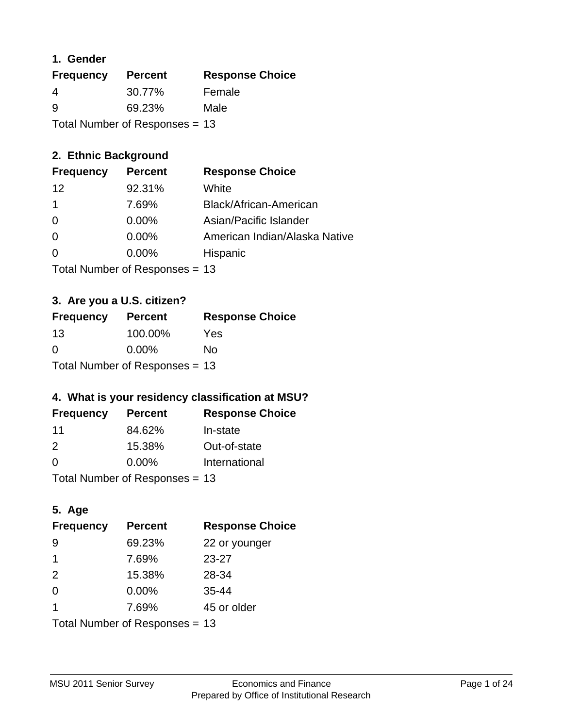### **1. Gender**

| <b>Frequency</b>                 | <b>Percent</b> | <b>Response Choice</b> |
|----------------------------------|----------------|------------------------|
| 4                                | 30.77%         | Female                 |
| 9                                | 69.23%         | Male                   |
| Total Number of Responses $= 13$ |                |                        |

# **2. Ethnic Background**

| <b>Frequency</b> | <b>Percent</b> | <b>Response Choice</b>        |
|------------------|----------------|-------------------------------|
| $12 \,$          | 92.31%         | White                         |
|                  | 7.69%          | Black/African-American        |
| 0                | 0.00%          | Asian/Pacific Islander        |
| 0                | 0.00%          | American Indian/Alaska Native |
| $\Omega$         | 0.00%          | Hispanic                      |
|                  |                |                               |

Total Number of Responses = 13

# **3. Are you a U.S. citizen?**

| <b>Frequency</b>               | <b>Percent</b> | <b>Response Choice</b> |
|--------------------------------|----------------|------------------------|
| 13                             | 100.00%        | Yes                    |
| $\Omega$                       | $0.00\%$       | Nο                     |
| Total Number of Responses = 13 |                |                        |

# **4. What is your residency classification at MSU?**

| <b>Frequency</b> | <b>Percent</b> | <b>Response Choice</b> |
|------------------|----------------|------------------------|
| 11               | 84.62%         | In-state               |
| $\mathcal{P}$    | 15.38%         | Out-of-state           |
| $\Omega$         | $0.00\%$       | International          |
|                  |                |                        |

Total Number of Responses = 13

# **5. Age**

| <b>Frequency</b>               | <b>Percent</b> | <b>Response Choice</b> |
|--------------------------------|----------------|------------------------|
| -9                             | 69.23%         | 22 or younger          |
| 1                              | 7.69%          | $23 - 27$              |
| 2                              | 15.38%         | 28-34                  |
| $\Omega$                       | $0.00\%$       | $35 - 44$              |
| 1                              | 7.69%          | 45 or older            |
| Total Number of Responses = 13 |                |                        |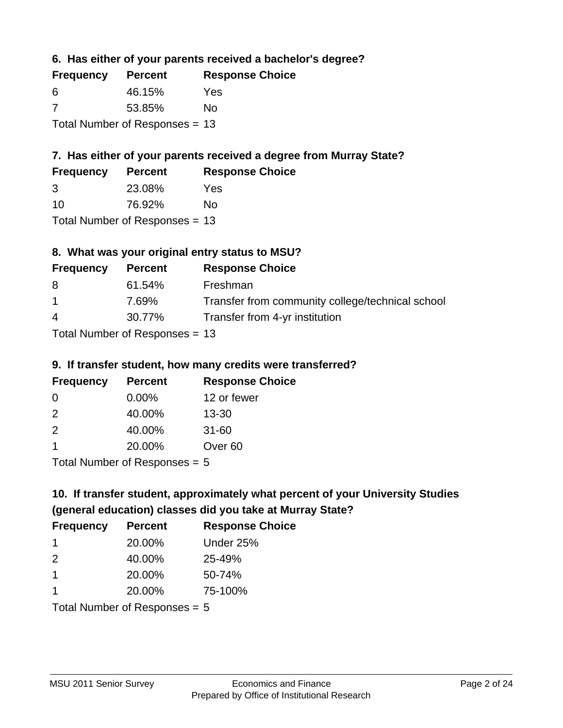**6. Has either of your parents received a bachelor's degree?**

| <b>Frequency</b>                 | <b>Percent</b> | <b>Response Choice</b> |
|----------------------------------|----------------|------------------------|
| 6                                | 46.15%         | Yes                    |
| -7                               | 53.85%         | No                     |
| Total Number of Responses $= 13$ |                |                        |

# **7. Has either of your parents received a degree from Murray State?**

| <b>Frequency</b> | <b>Percent</b> | <b>Response Choice</b> |
|------------------|----------------|------------------------|
| -3               | 23.08%         | Yes                    |
| 10               | 76.92%         | No                     |

Total Number of Responses = 13

# **8. What was your original entry status to MSU?**

| <b>Frequency</b> | <b>Percent</b>                                                                                                                                                                                                                                                                                               | <b>Response Choice</b>                           |
|------------------|--------------------------------------------------------------------------------------------------------------------------------------------------------------------------------------------------------------------------------------------------------------------------------------------------------------|--------------------------------------------------|
| 8                | 61.54%                                                                                                                                                                                                                                                                                                       | Freshman                                         |
| $\overline{1}$   | 7.69%                                                                                                                                                                                                                                                                                                        | Transfer from community college/technical school |
| $\overline{4}$   | 30.77%                                                                                                                                                                                                                                                                                                       | Transfer from 4-yr institution                   |
|                  | $T_{\rm eff}$ and the state of $T_{\rm eff}$ and $T_{\rm eff}$ and $T_{\rm eff}$ and $T_{\rm eff}$ and $T_{\rm eff}$ and $T_{\rm eff}$ and $T_{\rm eff}$ and $T_{\rm eff}$ and $T_{\rm eff}$ and $T_{\rm eff}$ and $T_{\rm eff}$ and $T_{\rm eff}$ and $T_{\rm eff}$ and $T_{\rm eff}$ and $T_{\rm eff}$ and |                                                  |

Total Number of Responses = 13

# **9. If transfer student, how many credits were transferred?**

| <b>Frequency</b>               | <b>Percent</b> | <b>Response Choice</b> |
|--------------------------------|----------------|------------------------|
| -0                             | $0.00\%$       | 12 or fewer            |
| $\mathcal{P}$                  | 40.00%         | $13 - 30$              |
| $\mathcal{P}$                  | 40.00%         | $31 - 60$              |
|                                | 20.00%         | Over <sub>60</sub>     |
| $Total Number of DoEROROR = F$ |                |                        |

I otal Number of Responses  $= 5$ 

# **10. If transfer student, approximately what percent of your University Studies (general education) classes did you take at Murray State?**

| <b>Frequency</b>                | <b>Percent</b> | <b>Response Choice</b> |
|---------------------------------|----------------|------------------------|
| -1                              | 20.00%         | Under 25%              |
| 2                               | 40.00%         | 25-49%                 |
| $\overline{1}$                  | 20.00%         | 50-74%                 |
| 1                               | 20.00%         | 75-100%                |
| Total Number of Responses $= 5$ |                |                        |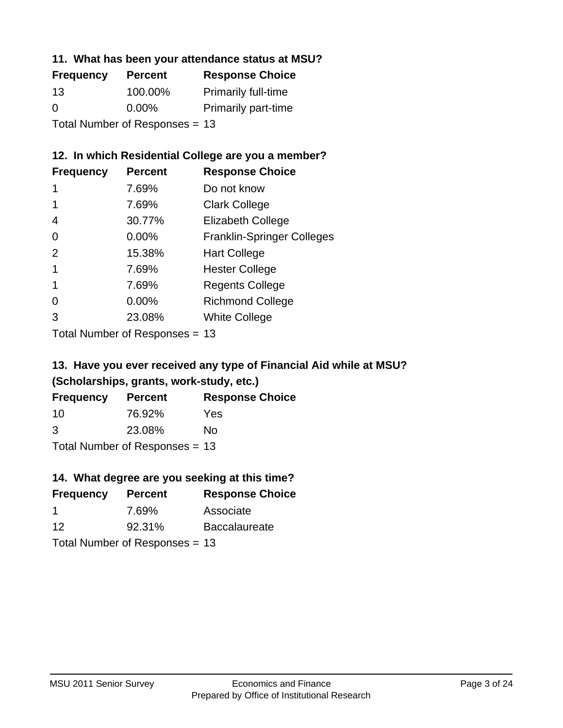### **11. What has been your attendance status at MSU?**

| <b>Frequency</b>               | <b>Percent</b> | <b>Response Choice</b>     |
|--------------------------------|----------------|----------------------------|
| 13                             | 100.00%        | <b>Primarily full-time</b> |
| 0                              | $0.00\%$       | <b>Primarily part-time</b> |
| Total Number of Responses = 13 |                |                            |

# **12. In which Residential College are you a member?**

| <b>Frequency</b> | <b>Percent</b> | <b>Response Choice</b>            |
|------------------|----------------|-----------------------------------|
| 1                | 7.69%          | Do not know                       |
|                  | 7.69%          | <b>Clark College</b>              |
| 4                | 30.77%         | <b>Elizabeth College</b>          |
| 0                | 0.00%          | <b>Franklin-Springer Colleges</b> |
| 2                | 15.38%         | <b>Hart College</b>               |
|                  | 7.69%          | <b>Hester College</b>             |
|                  | 7.69%          | <b>Regents College</b>            |
| 0                | 0.00%          | <b>Richmond College</b>           |
| 3                | 23.08%         | <b>White College</b>              |
|                  |                |                                   |

Total Number of Responses = 13

# **13. Have you ever received any type of Financial Aid while at MSU? (Scholarships, grants, work-study, etc.)**

| <b>Frequency</b>               | <b>Percent</b> | <b>Response Choice</b> |  |
|--------------------------------|----------------|------------------------|--|
| 10                             | 76.92%         | Yes                    |  |
| 3                              | 23.08%         | No                     |  |
| Total Number of Responses = 13 |                |                        |  |

**14. What degree are you seeking at this time?**

| <b>Frequency</b> | <b>Percent</b>                 | <b>Response Choice</b> |
|------------------|--------------------------------|------------------------|
| -1               | 7.69%                          | Associate              |
| 12               | 92.31%                         | <b>Baccalaureate</b>   |
|                  | Total Number of Responses = 13 |                        |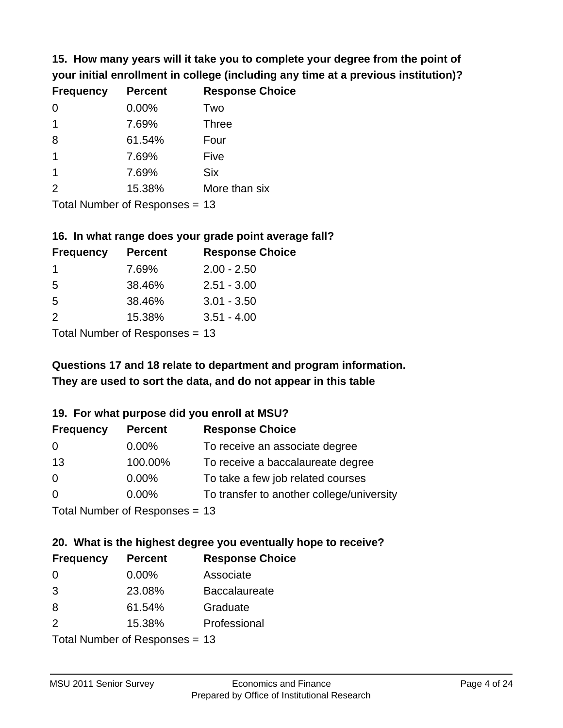**15. How many years will it take you to complete your degree from the point of your initial enrollment in college (including any time at a previous institution)?**

| <b>Frequency</b> | <b>Percent</b> | <b>Response Choice</b> |
|------------------|----------------|------------------------|
| $\Omega$         | 0.00%          | Two                    |
| 1                | 7.69%          | <b>Three</b>           |
| 8                | 61.54%         | Four                   |
| $\mathbf 1$      | 7.69%          | Five                   |
| $\mathbf 1$      | 7.69%          | <b>Six</b>             |
| 2                | 15.38%         | More than six          |
|                  |                |                        |

Total Number of Responses = 13

#### **16. In what range does your grade point average fall?**

| <b>Frequency</b> | <b>Percent</b> | <b>Response Choice</b> |
|------------------|----------------|------------------------|
|                  | 7.69%          | $2.00 - 2.50$          |
| -5               | 38.46%         | $2.51 - 3.00$          |
| -5               | 38.46%         | $3.01 - 3.50$          |
| 2                | 15.38%         | $3.51 - 4.00$          |
|                  |                |                        |

Total Number of Responses = 13

# **They are used to sort the data, and do not appear in this table Questions 17 and 18 relate to department and program information.**

### **19. For what purpose did you enroll at MSU?**

| <b>Frequency</b> | <b>Percent</b>                  | <b>Response Choice</b>                    |
|------------------|---------------------------------|-------------------------------------------|
| 0                | $0.00\%$                        | To receive an associate degree            |
| 13               | 100.00%                         | To receive a baccalaureate degree         |
| 0                | $0.00\%$                        | To take a few job related courses         |
| $\Omega$         | $0.00\%$                        | To transfer to another college/university |
|                  | Total Number of Reconnect $-13$ |                                           |

Total Number of Responses  $= 13$ 

# **20. What is the highest degree you eventually hope to receive?**

| <b>Frequency</b> | <b>Percent</b>             | <b>Response Choice</b> |
|------------------|----------------------------|------------------------|
| 0                | $0.00\%$                   | Associate              |
| 3                | 23.08%                     | <b>Baccalaureate</b>   |
| 8                | 61.54%                     | Graduate               |
| 2                | 15.38%                     | Professional           |
|                  | Total Number of Deepersoon |                        |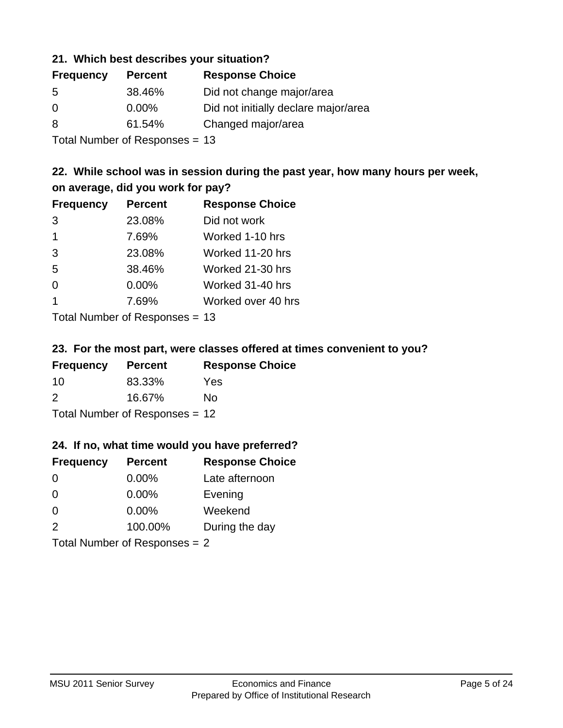### **21. Which best describes your situation?**

| <b>Frequency</b> | <b>Percent</b> | <b>Response Choice</b>               |
|------------------|----------------|--------------------------------------|
| -5               | 38.46%         | Did not change major/area            |
| $\Omega$         | $0.00\%$       | Did not initially declare major/area |
| 8                | 61.54%         | Changed major/area                   |
|                  |                |                                      |

Total Number of Responses = 13

# **22. While school was in session during the past year, how many hours per week, on average, did you work for pay?**

| <b>Frequency</b> | <b>Percent</b> | <b>Response Choice</b> |
|------------------|----------------|------------------------|
| 3                | 23.08%         | Did not work           |
| $\overline{1}$   | 7.69%          | Worked 1-10 hrs        |
| 3                | 23.08%         | Worked 11-20 hrs       |
| 5                | 38.46%         | Worked 21-30 hrs       |
| $\Omega$         | 0.00%          | Worked 31-40 hrs       |
| -1               | 7.69%          | Worked over 40 hrs     |
|                  |                |                        |

Total Number of Responses = 13

### **23. For the most part, were classes offered at times convenient to you?**

| <b>Frequency</b>                 | <b>Percent</b> | <b>Response Choice</b> |
|----------------------------------|----------------|------------------------|
| 10                               | 83.33%         | Yes                    |
| $\mathcal{P}$                    | 16.67%         | No.                    |
| Total Number of Responses = $12$ |                |                        |

### **24. If no, what time would you have preferred?**

| <b>Frequency</b> | <b>Percent</b>                  | <b>Response Choice</b> |
|------------------|---------------------------------|------------------------|
| 0                | $0.00\%$                        | Late afternoon         |
| 0                | $0.00\%$                        | Evening                |
| $\Omega$         | $0.00\%$                        | Weekend                |
| 2                | 100.00%                         | During the day         |
|                  | Total Number of Responses = $2$ |                        |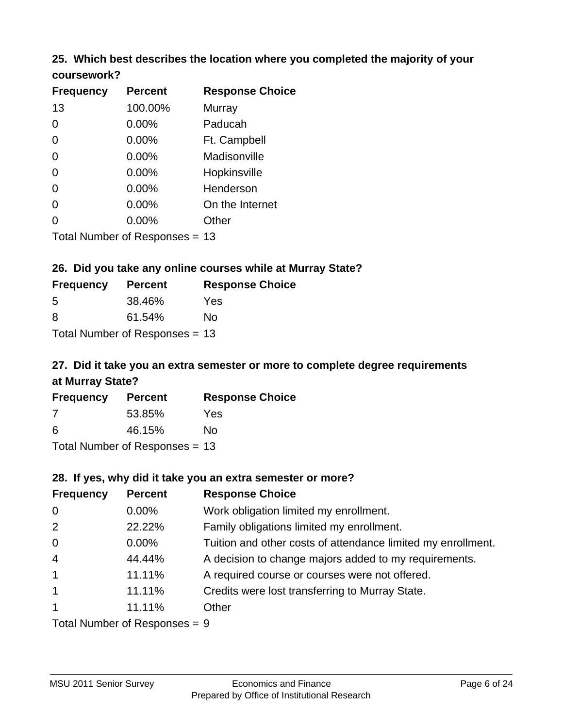# **25. Which best describes the location where you completed the majority of your**

| coursework? |  |
|-------------|--|
|-------------|--|

| <b>Frequency</b> | <b>Percent</b>                 | <b>Response Choice</b> |
|------------------|--------------------------------|------------------------|
| 13               | 100.00%                        | Murray                 |
| 0                | 0.00%                          | Paducah                |
| 0                | 0.00%                          | Ft. Campbell           |
| $\overline{0}$   | 0.00%                          | Madisonville           |
| 0                | 0.00%                          | Hopkinsville           |
| 0                | $0.00\%$                       | Henderson              |
| 0                | 0.00%                          | On the Internet        |
| 0                | 0.00%                          | Other                  |
|                  | Total Number of Responses = 13 |                        |

### **26. Did you take any online courses while at Murray State?**

| <b>Frequency</b> | <b>Percent</b>                   | <b>Response Choice</b> |
|------------------|----------------------------------|------------------------|
| -5               | 38.46%                           | Yes                    |
| -8               | 61.54%                           | No                     |
|                  | Total Number of Responses = $13$ |                        |

# **27. Did it take you an extra semester or more to complete degree requirements at Murray State?**

| <b>Frequency</b> | <b>Percent</b>                 | <b>Response Choice</b> |
|------------------|--------------------------------|------------------------|
| 7                | 53.85%                         | Yes                    |
| 6                | 46.15%                         | No                     |
|                  | Total Number of Responses = 13 |                        |

**28. If yes, why did it take you an extra semester or more?**

|                  | ZO. II YES, WITY UIU IL LANG YUU AH GALIA SEHIGSLEI UI HIUIGI: |                                                              |  |  |  |
|------------------|----------------------------------------------------------------|--------------------------------------------------------------|--|--|--|
| <b>Frequency</b> | <b>Percent</b>                                                 | <b>Response Choice</b>                                       |  |  |  |
| $\mathbf 0$      | $0.00\%$                                                       | Work obligation limited my enrollment.                       |  |  |  |
| 2                | 22.22%                                                         | Family obligations limited my enrollment.                    |  |  |  |
| $\mathbf 0$      | $0.00\%$                                                       | Tuition and other costs of attendance limited my enrollment. |  |  |  |
| $\overline{4}$   | 44.44%                                                         | A decision to change majors added to my requirements.        |  |  |  |
| $\mathbf{1}$     | 11.11%                                                         | A required course or courses were not offered.               |  |  |  |
| $\overline{1}$   | 11.11%                                                         | Credits were lost transferring to Murray State.              |  |  |  |
| $\mathbf{1}$     | 11.11%                                                         | Other                                                        |  |  |  |
|                  | $Total Number of DoEROR 0 = 0$                                 |                                                              |  |  |  |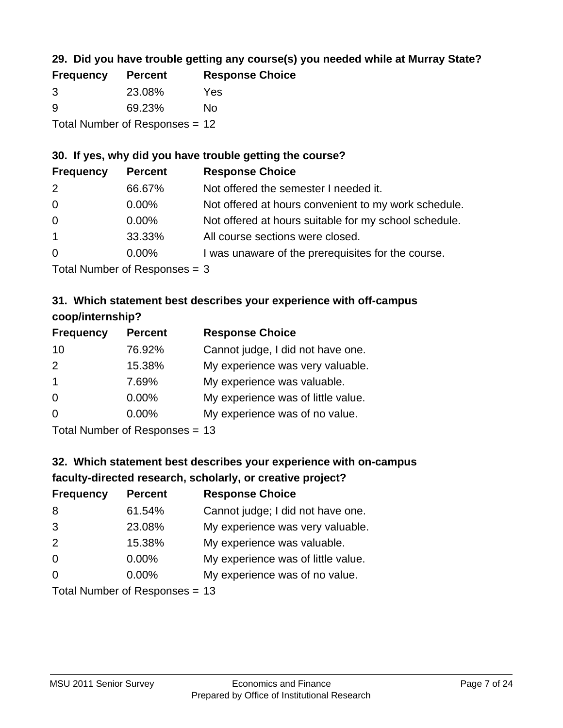# **29. Did you have trouble getting any course(s) you needed while at Murray State?**

| <b>Frequency</b>                 | <b>Percent</b> | <b>Response Choice</b> |  |
|----------------------------------|----------------|------------------------|--|
| -3                               | 23.08%         | Yes                    |  |
| -9                               | 69.23%         | Nο                     |  |
| Total Number of Responses $= 12$ |                |                        |  |

### **30. If yes, why did you have trouble getting the course?**

| <b>Frequency</b> | <b>Percent</b> | <b>Response Choice</b>                                |
|------------------|----------------|-------------------------------------------------------|
| 2                | 66.67%         | Not offered the semester I needed it.                 |
| $\overline{0}$   | $0.00\%$       | Not offered at hours convenient to my work schedule.  |
| $\overline{0}$   | $0.00\%$       | Not offered at hours suitable for my school schedule. |
| $\overline{1}$   | 33.33%         | All course sections were closed.                      |
| $\overline{0}$   | $0.00\%$       | I was unaware of the prerequisites for the course.    |
|                  |                |                                                       |

Total Number of Responses = 3

# **31. Which statement best describes your experience with off-campus coop/internship?**

| <b>Frequency</b>                       | <b>Percent</b> | <b>Response Choice</b>             |
|----------------------------------------|----------------|------------------------------------|
| 10                                     | 76.92%         | Cannot judge, I did not have one.  |
| 2                                      | 15.38%         | My experience was very valuable.   |
| $\overline{1}$                         | 7.69%          | My experience was valuable.        |
| $\Omega$                               | $0.00\%$       | My experience was of little value. |
| $\Omega$                               | 0.00%          | My experience was of no value.     |
| $\mathbf{r}$ . The set of $\mathbf{r}$ |                |                                    |

Total Number of Responses = 13

# **32. Which statement best describes your experience with on-campus faculty-directed research, scholarly, or creative project?**

| <b>Frequency</b> | <b>Percent</b>            | <b>Response Choice</b>             |
|------------------|---------------------------|------------------------------------|
| 8                | 61.54%                    | Cannot judge; I did not have one.  |
| 3                | 23.08%                    | My experience was very valuable.   |
| 2                | 15.38%                    | My experience was valuable.        |
| $\Omega$         | $0.00\%$                  | My experience was of little value. |
| $\Omega$         | $0.00\%$                  | My experience was of no value.     |
|                  | Total Number of Desponses |                                    |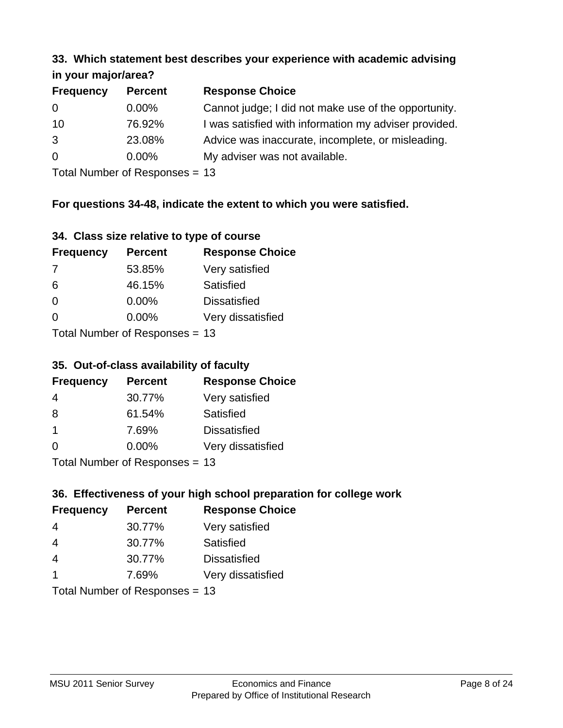#### **33. Which statement best describes your experience with academic advising in your major/area?**

| 11.70011110001701001 |                |                                                       |
|----------------------|----------------|-------------------------------------------------------|
| <b>Frequency</b>     | <b>Percent</b> | <b>Response Choice</b>                                |
| 0                    | $0.00\%$       | Cannot judge; I did not make use of the opportunity.  |
| 10                   | 76.92%         | I was satisfied with information my adviser provided. |
| 3                    | 23.08%         | Advice was inaccurate, incomplete, or misleading.     |
| $\overline{0}$       | $0.00\%$       | My adviser was not available.                         |
|                      |                |                                                       |

Total Number of Responses = 13

## **For questions 34-48, indicate the extent to which you were satisfied.**

| 34. Class size relative to type of course |  |  |  |  |  |  |  |  |
|-------------------------------------------|--|--|--|--|--|--|--|--|
|-------------------------------------------|--|--|--|--|--|--|--|--|

| <b>Frequency</b> | <b>Percent</b>                  | <b>Response Choice</b> |
|------------------|---------------------------------|------------------------|
| -7               | 53.85%                          | Very satisfied         |
| 6                | 46.15%                          | Satisfied              |
| $\Omega$         | $0.00\%$                        | <b>Dissatisfied</b>    |
| $\Omega$         | $0.00\%$                        | Very dissatisfied      |
|                  | Total Number of Responses $-13$ |                        |

Total Number of Responses = 13

### **35. Out-of-class availability of faculty**

| <b>Frequency</b> | <b>Percent</b>              | <b>Response Choice</b> |
|------------------|-----------------------------|------------------------|
| 4                | 30.77%                      | Very satisfied         |
| 8                | 61.54%                      | Satisfied              |
| $\mathbf 1$      | 7.69%                       | <b>Dissatisfied</b>    |
| $\Omega$         | $0.00\%$                    | Very dissatisfied      |
|                  | $Total Number of Denonce -$ |                        |

Total Number of Responses = 13

# **36. Effectiveness of your high school preparation for college work**

| <b>Frequency</b> | <b>Percent</b>                  | <b>Response Choice</b> |
|------------------|---------------------------------|------------------------|
| 4                | 30.77%                          | Very satisfied         |
| 4                | 30.77%                          | Satisfied              |
| $\overline{4}$   | 30.77%                          | <b>Dissatisfied</b>    |
| $\mathbf 1$      | 7.69%                           | Very dissatisfied      |
|                  | Total Number of Reconnect $-13$ |                        |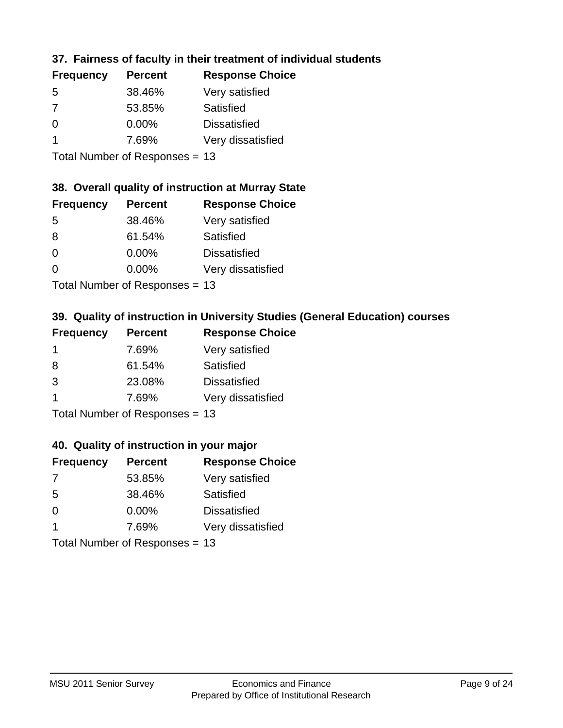# **37. Fairness of faculty in their treatment of individual students**

| <b>Frequency</b> | <b>Percent</b> | <b>Response Choice</b> |
|------------------|----------------|------------------------|
| -5               | 38.46%         | Very satisfied         |
| 7                | 53.85%         | Satisfied              |
| $\Omega$         | 0.00%          | <b>Dissatisfied</b>    |
|                  | 7.69%          | Very dissatisfied      |
|                  |                |                        |

Total Number of Responses = 13

### **38. Overall quality of instruction at Murray State**

| <b>Frequency</b> | <b>Percent</b>                           | <b>Response Choice</b> |
|------------------|------------------------------------------|------------------------|
| 5                | 38.46%                                   | Very satisfied         |
| 8                | 61.54%                                   | Satisfied              |
| $\Omega$         | $0.00\%$                                 | <b>Dissatisfied</b>    |
| $\Omega$         | 0.00%                                    | Very dissatisfied      |
|                  | $T$ at all Message and $D$ are a serious |                        |

Total Number of Responses = 13

## **39. Quality of instruction in University Studies (General Education) courses**

| <b>Frequency</b>                       | <b>Percent</b> | <b>Response Choice</b> |
|----------------------------------------|----------------|------------------------|
|                                        | 7.69%          | Very satisfied         |
| 8                                      | 61.54%         | Satisfied              |
| 3                                      | 23.08%         | <b>Dissatisfied</b>    |
|                                        | 7.69%          | Very dissatisfied      |
| $Total Number of Denonce -\frac{1}{2}$ |                |                        |

Total Number of Responses = 13

### **40. Quality of instruction in your major**

| <b>Frequency</b> | <b>Percent</b>            | <b>Response Choice</b> |
|------------------|---------------------------|------------------------|
| 7                | 53.85%                    | Very satisfied         |
| 5                | 38.46%                    | Satisfied              |
| $\Omega$         | $0.00\%$                  | <b>Dissatisfied</b>    |
|                  | 7.69%                     | Very dissatisfied      |
|                  | Total Number of Deepersee |                        |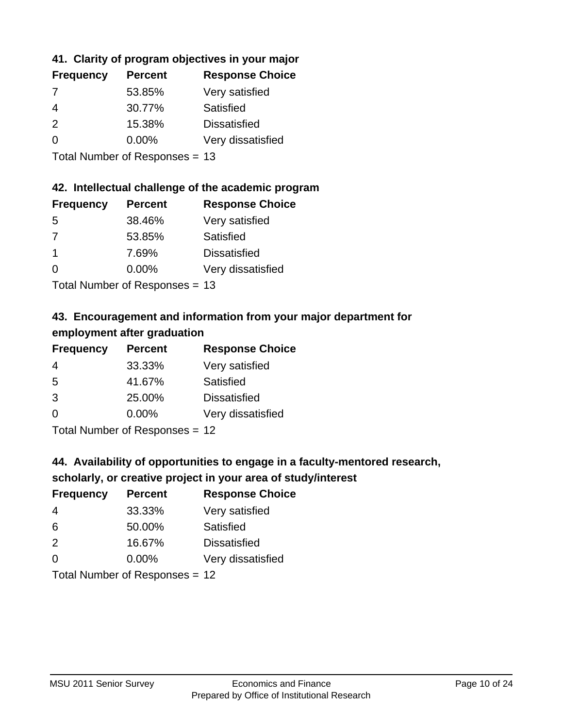# **41. Clarity of program objectives in your major**

| <b>Frequency</b> | <b>Percent</b> | <b>Response Choice</b> |
|------------------|----------------|------------------------|
|                  | 53.85%         | Very satisfied         |
| 4                | 30.77%         | Satisfied              |
| $\mathcal{P}$    | 15.38%         | <b>Dissatisfied</b>    |
| ∩                | $0.00\%$       | Very dissatisfied      |
|                  |                |                        |

Total Number of Responses = 13

### **42. Intellectual challenge of the academic program**

| <b>Frequency</b> | <b>Percent</b> | <b>Response Choice</b> |
|------------------|----------------|------------------------|
| .5               | 38.46%         | Very satisfied         |
| 7                | 53.85%         | Satisfied              |
| -1               | 7.69%          | <b>Dissatisfied</b>    |
| $\Omega$         | 0.00%          | Very dissatisfied      |
|                  |                |                        |

Total Number of Responses = 13

# **43. Encouragement and information from your major department for employment after graduation**

| <b>Frequency</b> | <b>Percent</b> | <b>Response Choice</b> |
|------------------|----------------|------------------------|
| 4                | 33.33%         | Very satisfied         |
| 5                | 41.67%         | Satisfied              |
| 3                | 25.00%         | <b>Dissatisfied</b>    |
| $\Omega$         | $0.00\%$       | Very dissatisfied      |
|                  |                |                        |

Total Number of Responses = 12

# **44. Availability of opportunities to engage in a faculty-mentored research,**

### **scholarly, or creative project in your area of study/interest**

| <b>Frequency</b> | <b>Percent</b> | <b>Response Choice</b> |
|------------------|----------------|------------------------|
| 4                | 33.33%         | Very satisfied         |
| 6                | 50.00%         | Satisfied              |
| $\mathcal{P}$    | 16.67%         | <b>Dissatisfied</b>    |
| $\Omega$         | 0.00%          | Very dissatisfied      |
|                  |                |                        |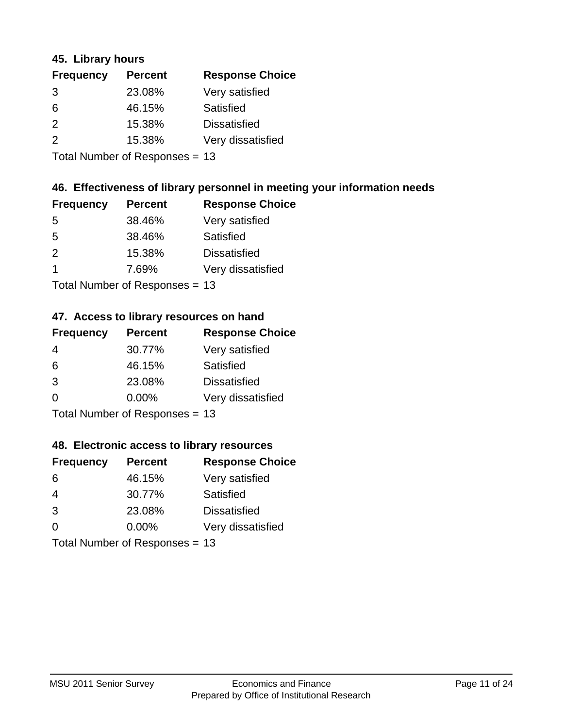### **45. Library hours**

| <b>Frequency</b> | <b>Percent</b> | <b>Response Choice</b> |
|------------------|----------------|------------------------|
| 3                | 23.08%         | Very satisfied         |
| 6                | 46.15%         | Satisfied              |
| 2                | 15.38%         | <b>Dissatisfied</b>    |
| 2                | 15.38%         | Very dissatisfied      |
|                  |                |                        |

Total Number of Responses = 13

### **46. Effectiveness of library personnel in meeting your information needs**

| <b>Frequency</b> | <b>Percent</b> | <b>Response Choice</b> |
|------------------|----------------|------------------------|
| 5                | 38.46%         | Very satisfied         |
| 5                | 38.46%         | Satisfied              |
| $\mathcal{P}$    | 15.38%         | <b>Dissatisfied</b>    |
|                  | 7.69%          | Very dissatisfied      |
|                  |                |                        |

Total Number of Responses = 13

# **47. Access to library resources on hand**

| <b>Frequency</b> | <b>Percent</b>            | <b>Response Choice</b> |
|------------------|---------------------------|------------------------|
| 4                | 30.77%                    | Very satisfied         |
| 6                | 46.15%                    | Satisfied              |
| 3                | 23.08%                    | <b>Dissatisfied</b>    |
| $\Omega$         | 0.00%                     | Very dissatisfied      |
|                  | Total Number of DoEROR 0. |                        |

Total Number of Responses = 13

# **48. Electronic access to library resources**

| <b>Frequency</b> | <b>Percent</b>                 | <b>Response Choice</b> |
|------------------|--------------------------------|------------------------|
| 6                | 46.15%                         | Very satisfied         |
| $\overline{4}$   | 30.77%                         | Satisfied              |
| 3                | 23.08%                         | <b>Dissatisfied</b>    |
| $\Omega$         | 0.00%                          | Very dissatisfied      |
|                  | Total Number of Responses = 13 |                        |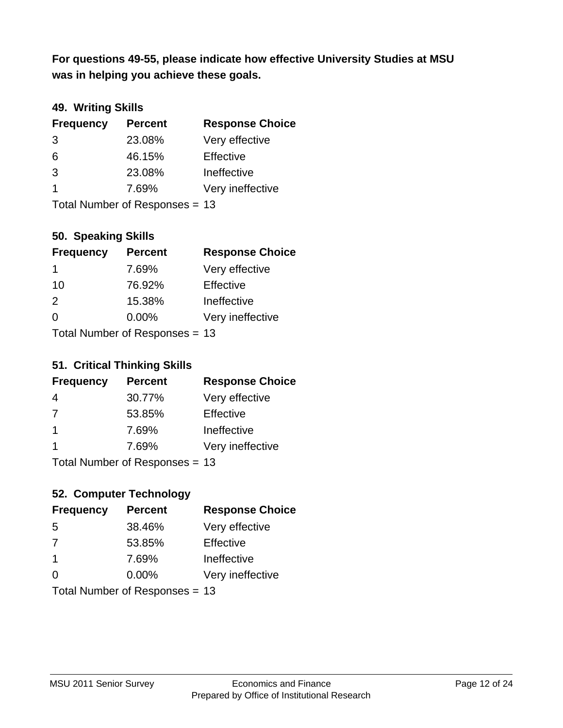**was in helping you achieve these goals. For questions 49-55, please indicate how effective University Studies at MSU** 

### **49. Writing Skills**

| <b>Frequency</b> | <b>Percent</b>                 | <b>Response Choice</b> |
|------------------|--------------------------------|------------------------|
| 3                | 23.08%                         | Very effective         |
| 6                | 46.15%                         | Effective              |
| 3                | 23.08%                         | Ineffective            |
| $\overline{1}$   | 7.69%                          | Very ineffective       |
|                  | Total Number of Responses = 13 |                        |

### **50. Speaking Skills**

| <b>Frequency</b> | <b>Percent</b>                 | <b>Response Choice</b> |
|------------------|--------------------------------|------------------------|
| 1                | 7.69%                          | Very effective         |
| 10               | 76.92%                         | Effective              |
| $\mathcal{P}$    | 15.38%                         | Ineffective            |
| $\Omega$         | $0.00\%$                       | Very ineffective       |
|                  | Total Number of Responses = 13 |                        |

#### **51. Critical Thinking Skills**

| <b>Frequency</b> | <b>Percent</b>                         | <b>Response Choice</b> |
|------------------|----------------------------------------|------------------------|
| 4                | 30.77%                                 | Very effective         |
| 7                | 53.85%                                 | Effective              |
| -1               | 7.69%                                  | Ineffective            |
| -1               | 7.69%                                  | Very ineffective       |
|                  | $Total Number of Denonce -\frac{1}{2}$ |                        |

Total Number of Responses = 13

# **52. Computer Technology**

| <b>Frequency</b> | <b>Percent</b>                 | <b>Response Choice</b> |
|------------------|--------------------------------|------------------------|
| 5                | 38.46%                         | Very effective         |
| 7                | 53.85%                         | Effective              |
| $\mathbf 1$      | 7.69%                          | Ineffective            |
| $\Omega$         | 0.00%                          | Very ineffective       |
|                  | Total Number of Responses = 13 |                        |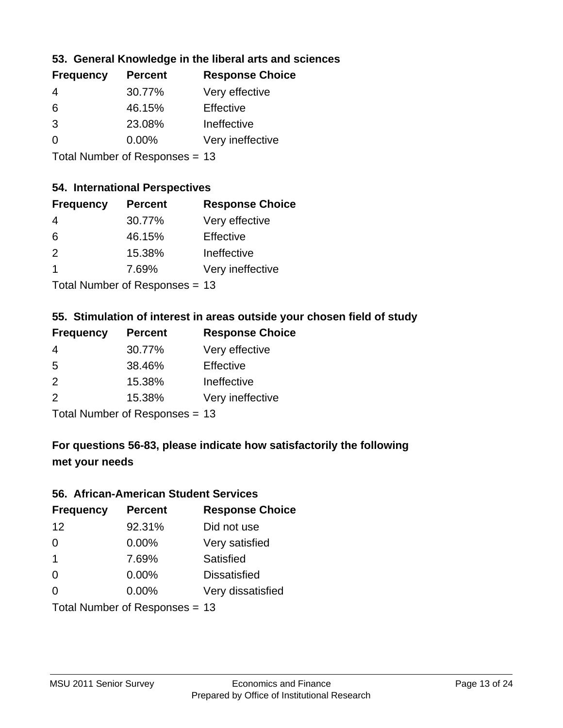### **53. General Knowledge in the liberal arts and sciences**

| <b>Frequency</b> | <b>Percent</b> | <b>Response Choice</b> |
|------------------|----------------|------------------------|
| 4                | 30.77%         | Very effective         |
| 6                | 46.15%         | Effective              |
| 3                | 23.08%         | Ineffective            |
| $\Omega$         | 0.00%          | Very ineffective       |
|                  |                |                        |

Total Number of Responses = 13

### **54. International Perspectives**

| <b>Frequency</b> | <b>Percent</b> | <b>Response Choice</b> |
|------------------|----------------|------------------------|
| 4                | 30.77%         | Very effective         |
| 6                | 46.15%         | Effective              |
| $\mathcal{P}$    | 15.38%         | Ineffective            |
| -1               | 7.69%          | Very ineffective       |
|                  |                |                        |

Total Number of Responses = 13

# **55. Stimulation of interest in areas outside your chosen field of study**

| <b>Frequency</b> | <b>Percent</b>             | <b>Response Choice</b> |
|------------------|----------------------------|------------------------|
| 4                | 30.77%                     | Very effective         |
| .5               | 38.46%                     | Effective              |
| $\mathcal{P}$    | 15.38%                     | Ineffective            |
| $\mathcal{P}$    | 15.38%                     | Very ineffective       |
|                  | Total Number of Desperance |                        |

Total Number of Responses = 13

# **For questions 56-83, please indicate how satisfactorily the following met your needs**

#### **56. African-American Student Services**

| <b>Frequency</b> | <b>Percent</b>                 | <b>Response Choice</b> |
|------------------|--------------------------------|------------------------|
| 12               | 92.31%                         | Did not use            |
| $\Omega$         | 0.00%                          | Very satisfied         |
| $\overline{1}$   | 7.69%                          | <b>Satisfied</b>       |
| $\Omega$         | $0.00\%$                       | <b>Dissatisfied</b>    |
| $\Omega$         | 0.00%                          | Very dissatisfied      |
|                  | Total Number of Responses = 13 |                        |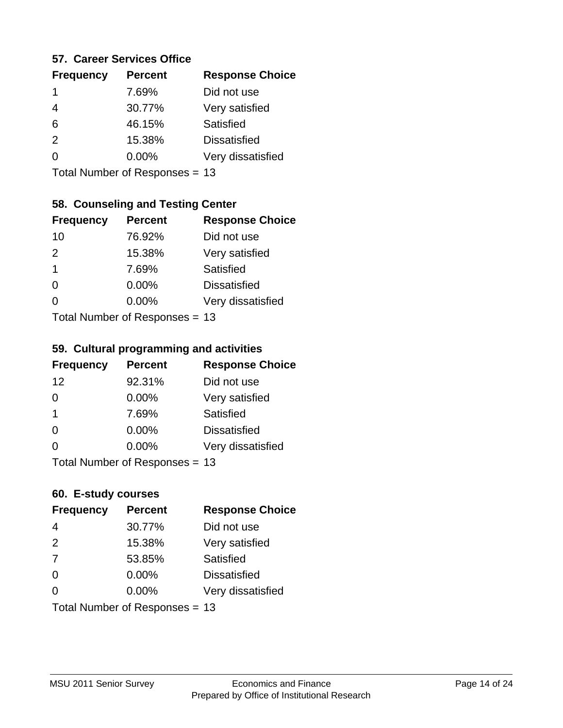#### **57. Career Services Office**

| <b>Frequency</b> | <b>Percent</b> | <b>Response Choice</b> |
|------------------|----------------|------------------------|
|                  | 7.69%          | Did not use            |
| 4                | 30.77%         | Very satisfied         |
| 6                | 46.15%         | Satisfied              |
| $\mathcal{P}$    | 15.38%         | <b>Dissatisfied</b>    |
|                  | $0.00\%$       | Very dissatisfied      |
|                  |                |                        |

Total Number of Responses = 13

## **58. Counseling and Testing Center**

| <b>Frequency</b> | <b>Percent</b>            | <b>Response Choice</b> |
|------------------|---------------------------|------------------------|
| 10               | 76.92%                    | Did not use            |
| 2                | 15.38%                    | Very satisfied         |
| 1                | 7.69%                     | <b>Satisfied</b>       |
| 0                | 0.00%                     | <b>Dissatisfied</b>    |
| 0                | $0.00\%$                  | Very dissatisfied      |
|                  | Total Number of Desponses |                        |

Total Number of Responses = 13

#### **59. Cultural programming and activities**

| <b>Frequency</b> | <b>Percent</b>                  | <b>Response Choice</b> |
|------------------|---------------------------------|------------------------|
| 12               | 92.31%                          | Did not use            |
| $\Omega$         | $0.00\%$                        | Very satisfied         |
| -1               | 7.69%                           | Satisfied              |
| $\Omega$         | 0.00%                           | <b>Dissatisfied</b>    |
| $\Omega$         | $0.00\%$                        | Very dissatisfied      |
|                  | $Total$ Number of Despanses $-$ |                        |

Total Number of Responses = 13

# **60. E-study courses**

| <b>Frequency</b> | <b>Percent</b>                 | <b>Response Choice</b> |
|------------------|--------------------------------|------------------------|
| 4                | 30.77%                         | Did not use            |
| 2                | 15.38%                         | Very satisfied         |
| 7                | 53.85%                         | Satisfied              |
| $\Omega$         | 0.00%                          | <b>Dissatisfied</b>    |
| $\Omega$         | $0.00\%$                       | Very dissatisfied      |
|                  | Total Number of Responses = 13 |                        |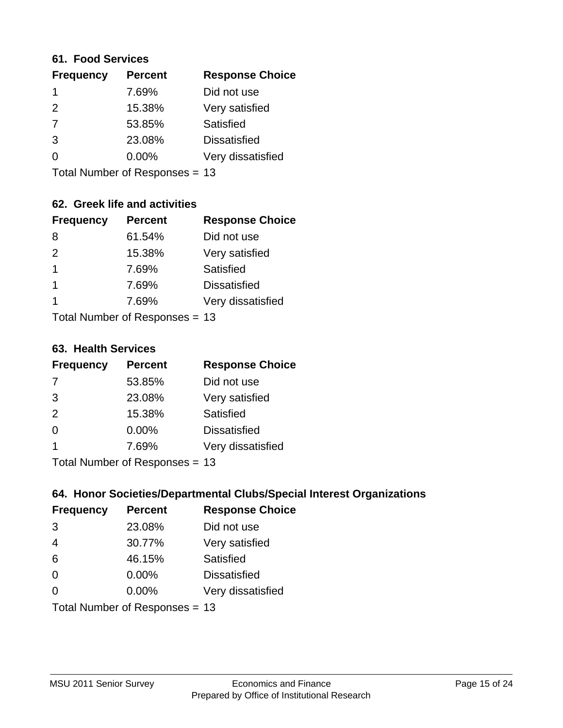#### **61. Food Services**

| <b>Frequency</b> | <b>Percent</b> | <b>Response Choice</b> |
|------------------|----------------|------------------------|
|                  | 7.69%          | Did not use            |
| $\mathcal{P}$    | 15.38%         | Very satisfied         |
| 7                | 53.85%         | Satisfied              |
| 3                | 23.08%         | <b>Dissatisfied</b>    |
| O                | $0.00\%$       | Very dissatisfied      |
|                  |                |                        |

Total Number of Responses = 13

## **62. Greek life and activities**

| <b>Frequency</b>     | <b>Percent</b>                 | <b>Response Choice</b> |
|----------------------|--------------------------------|------------------------|
| 8                    | 61.54%                         | Did not use            |
| 2                    | 15.38%                         | Very satisfied         |
| 1                    | 7.69%                          | <b>Satisfied</b>       |
| $\blacktriangleleft$ | 7.69%                          | <b>Dissatisfied</b>    |
| 1                    | 7.69%                          | Very dissatisfied      |
|                      | Total Number of Responses = 13 |                        |

**63. Health Services**

| <b>Frequency</b> | <b>Percent</b>            | <b>Response Choice</b> |
|------------------|---------------------------|------------------------|
| 7                | 53.85%                    | Did not use            |
| 3                | 23.08%                    | Very satisfied         |
| 2                | 15.38%                    | <b>Satisfied</b>       |
| $\Omega$         | $0.00\%$                  | <b>Dissatisfied</b>    |
|                  | 7.69%                     | Very dissatisfied      |
|                  | Total Number of DoEROR 0. |                        |

Total Number of Responses = 13

### **64. Honor Societies/Departmental Clubs/Special Interest Organizations**

| <b>Frequency</b> | <b>Percent</b>                 | <b>Response Choice</b> |
|------------------|--------------------------------|------------------------|
| 3                | 23.08%                         | Did not use            |
| $\overline{4}$   | 30.77%                         | Very satisfied         |
| 6                | 46.15%                         | Satisfied              |
| $\Omega$         | 0.00%                          | <b>Dissatisfied</b>    |
| $\Omega$         | 0.00%                          | Very dissatisfied      |
|                  | Total Number of Responses = 13 |                        |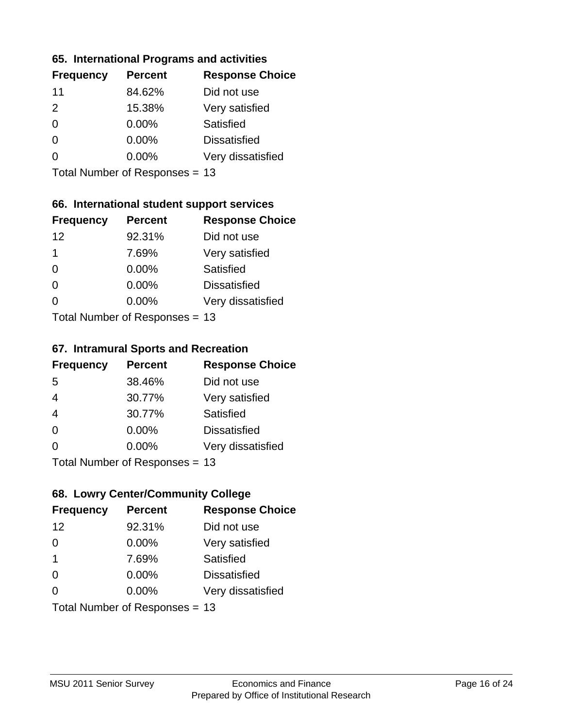### **65. International Programs and activities**

| <b>Frequency</b> | <b>Percent</b> | <b>Response Choice</b> |
|------------------|----------------|------------------------|
| 11               | 84.62%         | Did not use            |
| 2                | 15.38%         | Very satisfied         |
| 0                | $0.00\%$       | Satisfied              |
| 0                | $0.00\%$       | <b>Dissatisfied</b>    |
|                  | $0.00\%$       | Very dissatisfied      |
|                  |                |                        |

Total Number of Responses = 13

## **66. International student support services**

| <b>Frequency</b> | <b>Percent</b>            | <b>Response Choice</b> |
|------------------|---------------------------|------------------------|
| 12               | 92.31%                    | Did not use            |
| 1                | 7.69%                     | Very satisfied         |
| $\Omega$         | 0.00%                     | <b>Satisfied</b>       |
| $\Omega$         | 0.00%                     | <b>Dissatisfied</b>    |
| ∩                | 0.00%                     | Very dissatisfied      |
|                  | Total Number of Desponses |                        |

Total Number of Responses = 13

#### **67. Intramural Sports and Recreation**

| <b>Frequency</b> | <b>Percent</b>                  | <b>Response Choice</b> |
|------------------|---------------------------------|------------------------|
| 5                | 38.46%                          | Did not use            |
| $\overline{4}$   | 30.77%                          | Very satisfied         |
| $\overline{4}$   | 30.77%                          | Satisfied              |
| $\Omega$         | 0.00%                           | <b>Dissatisfied</b>    |
| $\Omega$         | 0.00%                           | Very dissatisfied      |
|                  | $Total Number of Denonose = 12$ |                        |

Total Number of Responses = 13

# **68. Lowry Center/Community College**

| <b>Frequency</b>        | <b>Percent</b>                 | <b>Response Choice</b> |
|-------------------------|--------------------------------|------------------------|
| 12                      | 92.31%                         | Did not use            |
| $\Omega$                | 0.00%                          | Very satisfied         |
| $\overline{\mathbf{1}}$ | 7.69%                          | Satisfied              |
| $\Omega$                | 0.00%                          | <b>Dissatisfied</b>    |
| $\Omega$                | 0.00%                          | Very dissatisfied      |
|                         | Total Number of Responses = 13 |                        |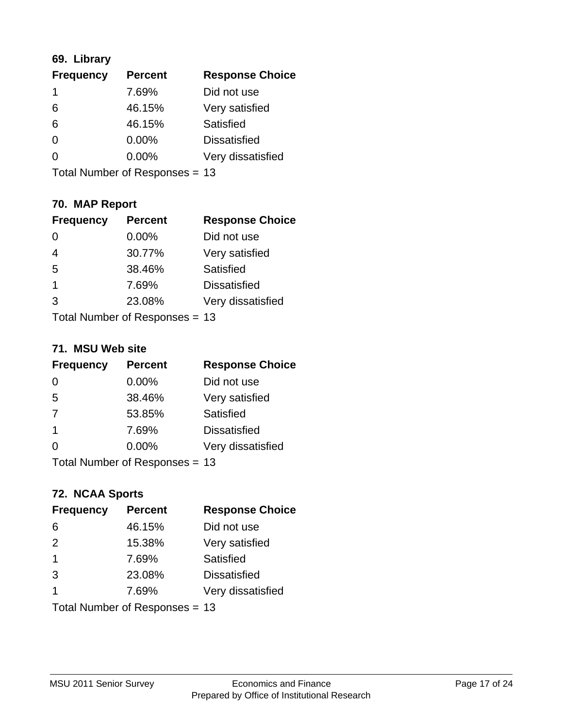# **69. Library**

| <b>Frequency</b> | <b>Percent</b> | <b>Response Choice</b> |
|------------------|----------------|------------------------|
| 1                | 7.69%          | Did not use            |
| 6                | 46.15%         | Very satisfied         |
| 6                | 46.15%         | Satisfied              |
| $\Omega$         | 0.00%          | <b>Dissatisfied</b>    |
| $\Omega$         | $0.00\%$       | Very dissatisfied      |
|                  |                |                        |

Total Number of Responses = 13

# **70. MAP Report**

| <b>Frequency</b>     | <b>Percent</b>                 | <b>Response Choice</b> |
|----------------------|--------------------------------|------------------------|
| 0                    | 0.00%                          | Did not use            |
| $\overline{4}$       | 30.77%                         | Very satisfied         |
| 5                    | 38.46%                         | Satisfied              |
| $\blacktriangleleft$ | 7.69%                          | <b>Dissatisfied</b>    |
| 3                    | 23.08%                         | Very dissatisfied      |
|                      | Total Number of Responses = 13 |                        |

### **71. MSU Web site**

| <b>Frequency</b> | <b>Percent</b>                 | <b>Response Choice</b> |
|------------------|--------------------------------|------------------------|
| $\Omega$         | $0.00\%$                       | Did not use            |
| 5                | 38.46%                         | Very satisfied         |
| 7                | 53.85%                         | Satisfied              |
| $\overline{1}$   | 7.69%                          | <b>Dissatisfied</b>    |
| ∩                | 0.00%                          | Very dissatisfied      |
|                  | Total Number of Responses = 13 |                        |

# **72. NCAA Sports**

| <b>Frequency</b>        | <b>Percent</b>                 | <b>Response Choice</b> |
|-------------------------|--------------------------------|------------------------|
| 6                       | 46.15%                         | Did not use            |
| 2                       | 15.38%                         | Very satisfied         |
| $\mathbf 1$             | 7.69%                          | Satisfied              |
| 3                       | 23.08%                         | <b>Dissatisfied</b>    |
| $\overline{\mathbf{1}}$ | 7.69%                          | Very dissatisfied      |
|                         | Total Number of Responses = 13 |                        |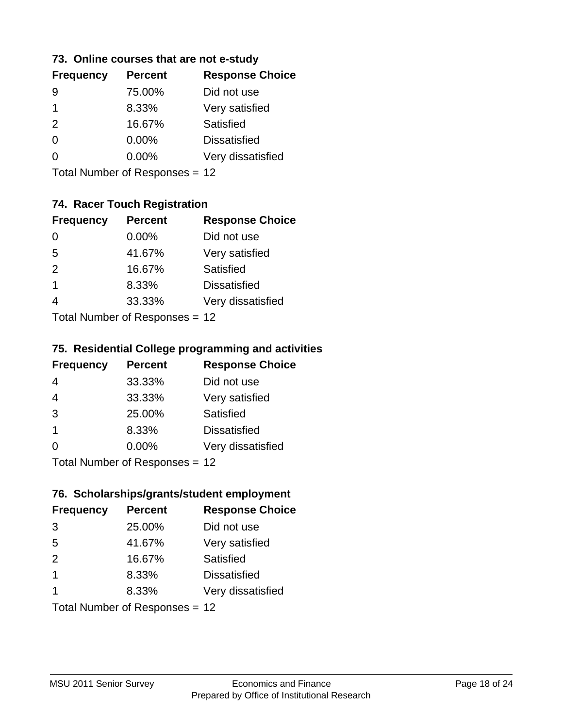### **73. Online courses that are not e-study**

| <b>Frequency</b> | <b>Percent</b> | <b>Response Choice</b> |
|------------------|----------------|------------------------|
|                  | 75.00%         | Did not use            |
|                  | 8.33%          | Very satisfied         |
| $\mathcal{P}$    | 16.67%         | Satisfied              |
| 0                | $0.00\%$       | <b>Dissatisfied</b>    |
|                  | $0.00\%$       | Very dissatisfied      |
|                  |                |                        |

Total Number of Responses = 12

# **74. Racer Touch Registration**

| <b>Frequency</b>            | <b>Percent</b> | <b>Response Choice</b> |
|-----------------------------|----------------|------------------------|
| 0                           | 0.00%          | Did not use            |
| 5                           | 41.67%         | Very satisfied         |
| 2                           | 16.67%         | Satisfied              |
| 1                           | 8.33%          | <b>Dissatisfied</b>    |
| $\overline{4}$              | 33.33%         | Very dissatisfied      |
| Total Number of Despesses - |                |                        |

Total Number of Responses = 12

### **75. Residential College programming and activities**

| <b>Frequency</b> | <b>Percent</b>                  | <b>Response Choice</b> |
|------------------|---------------------------------|------------------------|
| 4                | 33.33%                          | Did not use            |
| $\overline{4}$   | 33.33%                          | Very satisfied         |
| 3                | 25.00%                          | Satisfied              |
| -1               | 8.33%                           | <b>Dissatisfied</b>    |
| $\Omega$         | $0.00\%$                        | Very dissatisfied      |
|                  | $Total Number of Denonose = 12$ |                        |

I otal Number of Responses = 12

# **76. Scholarships/grants/student employment**

| <b>Frequency</b> | <b>Percent</b>                 | <b>Response Choice</b> |
|------------------|--------------------------------|------------------------|
| 3                | 25.00%                         | Did not use            |
| 5                | 41.67%                         | Very satisfied         |
| 2                | 16.67%                         | Satisfied              |
| $\mathbf 1$      | 8.33%                          | <b>Dissatisfied</b>    |
| 1                | 8.33%                          | Very dissatisfied      |
|                  | Total Number of Responses = 12 |                        |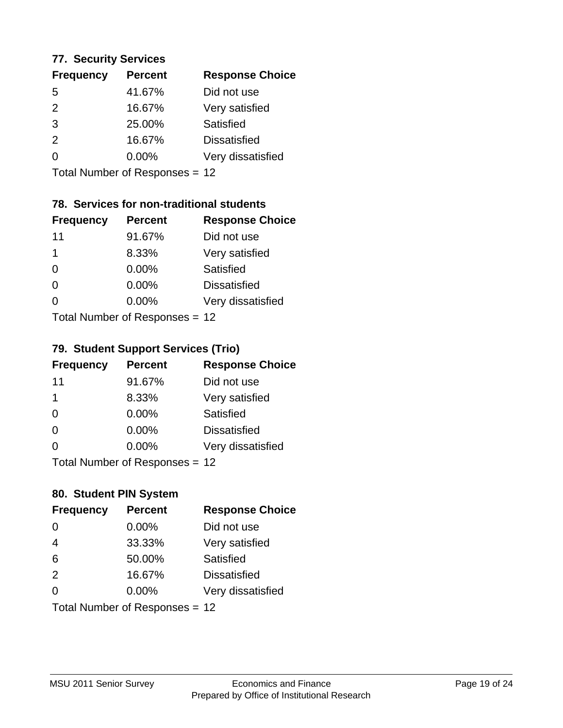### **77. Security Services**

| <b>Frequency</b> | <b>Percent</b> | <b>Response Choice</b> |
|------------------|----------------|------------------------|
| 5                | 41.67%         | Did not use            |
| $\mathcal{P}$    | 16.67%         | Very satisfied         |
| 3                | 25.00%         | Satisfied              |
| $\mathcal{P}$    | 16.67%         | <b>Dissatisfied</b>    |
| $\Omega$         | $0.00\%$       | Very dissatisfied      |
|                  |                |                        |

Total Number of Responses = 12

# **78. Services for non-traditional students**

| <b>Frequency</b>             | <b>Percent</b> | <b>Response Choice</b> |
|------------------------------|----------------|------------------------|
| 11                           | 91.67%         | Did not use            |
| 1                            | 8.33%          | Very satisfied         |
| $\Omega$                     | $0.00\%$       | Satisfied              |
| $\Omega$                     | 0.00%          | <b>Dissatisfied</b>    |
| 0                            | $0.00\%$       | Very dissatisfied      |
| $Total Number of DoEROROR -$ |                |                        |

Total Number of Responses = 12

### **79. Student Support Services (Trio)**

| <b>Frequency</b> | <b>Percent</b>               | <b>Response Choice</b> |
|------------------|------------------------------|------------------------|
| 11               | 91.67%                       | Did not use            |
| 1                | 8.33%                        | Very satisfied         |
| $\Omega$         | $0.00\%$                     | Satisfied              |
| $\Omega$         | $0.00\%$                     | <b>Dissatisfied</b>    |
| $\Omega$         | $0.00\%$                     | Very dissatisfied      |
|                  | $Total Number of Denonce 42$ |                        |

Total Number of Responses = 12

# **80. Student PIN System**

| <b>Frequency</b> | <b>Percent</b>                 | <b>Response Choice</b> |
|------------------|--------------------------------|------------------------|
| 0                | 0.00%                          | Did not use            |
| $\overline{4}$   | 33.33%                         | Very satisfied         |
| 6                | 50.00%                         | Satisfied              |
| 2                | 16.67%                         | <b>Dissatisfied</b>    |
| 0                | $0.00\%$                       | Very dissatisfied      |
|                  | Total Number of Responses = 12 |                        |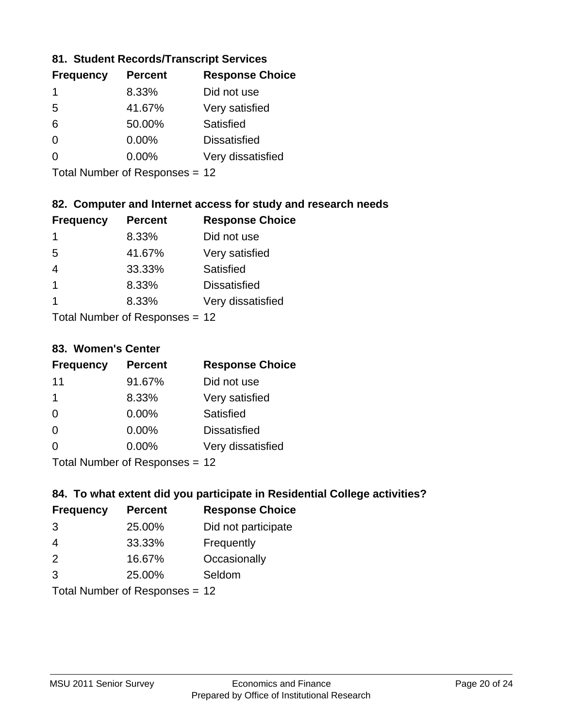### **81. Student Records/Transcript Services**

| <b>Frequency</b> | <b>Percent</b> | <b>Response Choice</b> |
|------------------|----------------|------------------------|
|                  | 8.33%          | Did not use            |
| 5                | 41.67%         | Very satisfied         |
| 6                | 50.00%         | Satisfied              |
| ∩                | $0.00\%$       | <b>Dissatisfied</b>    |
| O                | $0.00\%$       | Very dissatisfied      |

Total Number of Responses = 12

## **82. Computer and Internet access for study and research needs**

| <b>Frequency</b> | <b>Percent</b>            | <b>Response Choice</b> |
|------------------|---------------------------|------------------------|
| 1                | 8.33%                     | Did not use            |
| 5                | 41.67%                    | Very satisfied         |
| 4                | 33.33%                    | Satisfied              |
| -1               | 8.33%                     | <b>Dissatisfied</b>    |
| 1                | 8.33%                     | Very dissatisfied      |
|                  | Total Number of Deepersee |                        |

Total Number of Responses = 12

#### **83. Women's Center**

| <b>Frequency</b> | <b>Percent</b>             | <b>Response Choice</b> |
|------------------|----------------------------|------------------------|
| 11               | 91.67%                     | Did not use            |
| $\mathbf 1$      | 8.33%                      | Very satisfied         |
| $\Omega$         | $0.00\%$                   | Satisfied              |
| $\Omega$         | $0.00\%$                   | <b>Dissatisfied</b>    |
| $\Omega$         | 0.00%                      | Very dissatisfied      |
|                  | Total Number of Deepersoon |                        |

Total Number of Responses = 12

# **84. To what extent did you participate in Residential College activities?**

| <b>Frequency</b> | <b>Percent</b>             | <b>Response Choice</b> |
|------------------|----------------------------|------------------------|
| 3                | 25.00%                     | Did not participate    |
| 4                | 33.33%                     | Frequently             |
| $\mathcal{P}$    | 16.67%                     | Occasionally           |
| 3                | 25.00%                     | Seldom                 |
|                  | Tatal Number of Desperance |                        |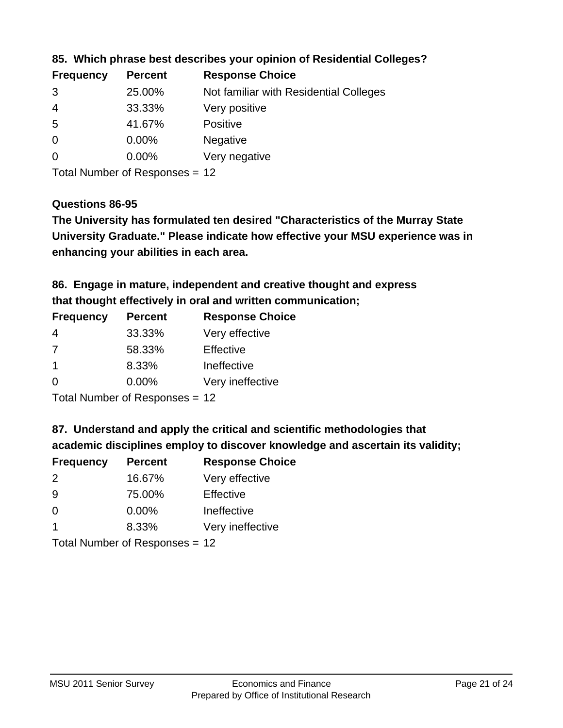| <b>Frequency</b> | <b>Percent</b> | <b>Response Choice</b>                 |
|------------------|----------------|----------------------------------------|
| 3                | 25.00%         | Not familiar with Residential Colleges |
| $\overline{4}$   | 33.33%         | Very positive                          |
| -5               | 41.67%         | <b>Positive</b>                        |
| $\overline{0}$   | 0.00%          | <b>Negative</b>                        |
| -0               | $0.00\%$       | Very negative                          |
|                  |                |                                        |

**85. Which phrase best describes your opinion of Residential Colleges?**

Total Number of Responses = 12

### **Questions 86-95**

**University Graduate." Please indicate how effective your MSU experience was in The University has formulated ten desired "Characteristics of the Murray State enhancing your abilities in each area.**

**86. Engage in mature, independent and creative thought and express that thought effectively in oral and written communication;**

| <b>Percent</b> | <b>Response Choice</b> |
|----------------|------------------------|
| 33.33%         | Very effective         |
| 58.33%         | Effective              |
| 8.33%          | Ineffective            |
| $0.00\%$       | Very ineffective       |
|                |                        |

Total Number of Responses = 12

**87. Understand and apply the critical and scientific methodologies that** 

**academic disciplines employ to discover knowledge and ascertain its validity;**

| <b>Frequency</b> | <b>Percent</b> | <b>Response Choice</b> |
|------------------|----------------|------------------------|
| 2                | 16.67%         | Very effective         |
| 9                | 75.00%         | Effective              |
| $\Omega$         | 0.00%          | Ineffective            |
|                  | 8.33%          | Very ineffective       |
|                  |                |                        |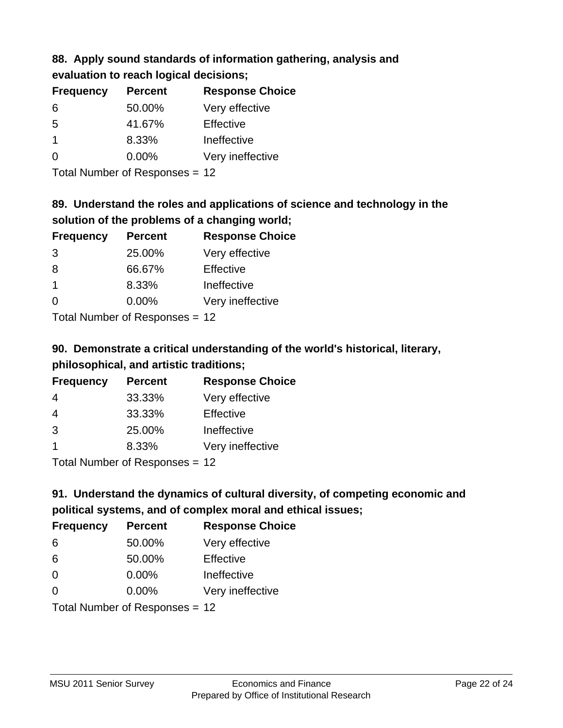### **88. Apply sound standards of information gathering, analysis and evaluation to reach logical decisions;**

| <b>Frequency</b> | <b>Percent</b> | <b>Response Choice</b> |
|------------------|----------------|------------------------|
| 6                | 50.00%         | Very effective         |
| 5                | 41.67%         | Effective              |
| -1               | 8.33%          | Ineffective            |
| $\Omega$         | 0.00%          | Very ineffective       |
|                  |                |                        |

Total Number of Responses = 12

# **89. Understand the roles and applications of science and technology in the solution of the problems of a changing world;**

| <b>Frequency</b> | <b>Percent</b>                                                | <b>Response Choice</b> |
|------------------|---------------------------------------------------------------|------------------------|
| 3                | 25.00%                                                        | Very effective         |
| 8                | 66.67%                                                        | Effective              |
| -1               | 8.33%                                                         | Ineffective            |
| $\Omega$         | 0.00%                                                         | Very ineffective       |
|                  | $\tau$ and $\tau$ and $\tau$ and $\tau$ and $\tau$ and $\tau$ |                        |

Total Number of Responses = 12

# **90. Demonstrate a critical understanding of the world's historical, literary, philosophical, and artistic traditions;**

| <b>Frequency</b> | <b>Percent</b> | <b>Response Choice</b> |
|------------------|----------------|------------------------|
| 4                | 33.33%         | Very effective         |
| $\overline{4}$   | 33.33%         | Effective              |
| 3                | 25.00%         | Ineffective            |
|                  | 8.33%          | Very ineffective       |
|                  |                |                        |

Total Number of Responses = 12

# **91. Understand the dynamics of cultural diversity, of competing economic and political systems, and of complex moral and ethical issues;**

| <b>Frequency</b> | <b>Percent</b>                 | <b>Response Choice</b> |
|------------------|--------------------------------|------------------------|
| 6                | 50.00%                         | Very effective         |
| 6                | 50.00%                         | Effective              |
| $\Omega$         | 0.00%                          | Ineffective            |
| $\Omega$         | $0.00\%$                       | Very ineffective       |
|                  | Total Number of Responses = 12 |                        |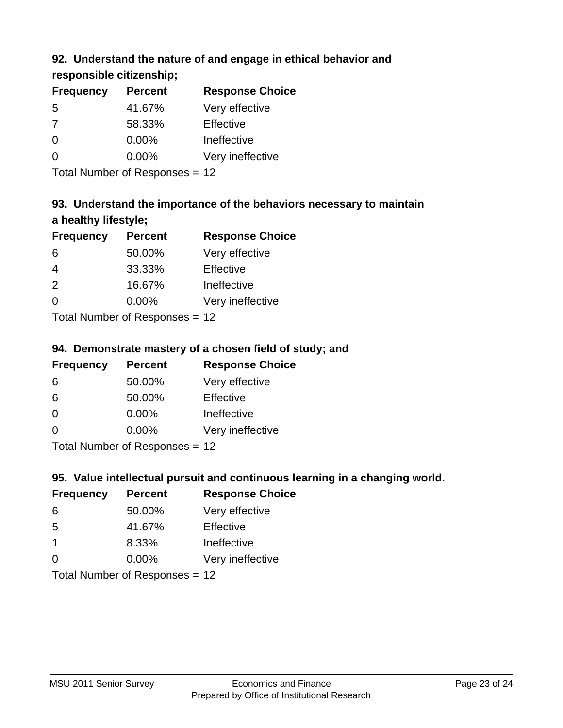# **92. Understand the nature of and engage in ethical behavior and**

**responsible citizenship;**

| <b>Frequency</b> | <b>Percent</b> | <b>Response Choice</b> |
|------------------|----------------|------------------------|
| .5               | 41.67%         | Very effective         |
| 7                | 58.33%         | Effective              |
| $\Omega$         | $0.00\%$       | Ineffective            |
| $\Omega$         | $0.00\%$       | Very ineffective       |
|                  |                |                        |

Total Number of Responses = 12

# **93. Understand the importance of the behaviors necessary to maintain a healthy lifestyle;**

| <b>Frequency</b>          | <b>Percent</b> | <b>Response Choice</b> |
|---------------------------|----------------|------------------------|
| 6                         | 50.00%         | Very effective         |
| 4                         | 33.33%         | Effective              |
| 2                         | 16.67%         | Ineffective            |
| $\Omega$                  | 0.00%          | Very ineffective       |
| Total Number of Desponses |                |                        |

Total Number of Responses = 12

# **94. Demonstrate mastery of a chosen field of study; and**

| <b>Frequency</b> | <b>Percent</b> | <b>Response Choice</b> |
|------------------|----------------|------------------------|
| 6                | 50.00%         | Very effective         |
| 6                | 50.00%         | Effective              |
| $\Omega$         | 0.00%          | Ineffective            |
| $\Omega$         | 0.00%          | Very ineffective       |
|                  |                |                        |

Total Number of Responses = 12

# **95. Value intellectual pursuit and continuous learning in a changing world.**

| <b>Frequency</b> | <b>Percent</b>            | <b>Response Choice</b> |
|------------------|---------------------------|------------------------|
| 6                | 50.00%                    | Very effective         |
| -5               | 41.67%                    | Effective              |
| $\overline{1}$   | 8.33%                     | Ineffective            |
| $\Omega$         | 0.00%                     | Very ineffective       |
|                  | Total Number of Deepensee |                        |